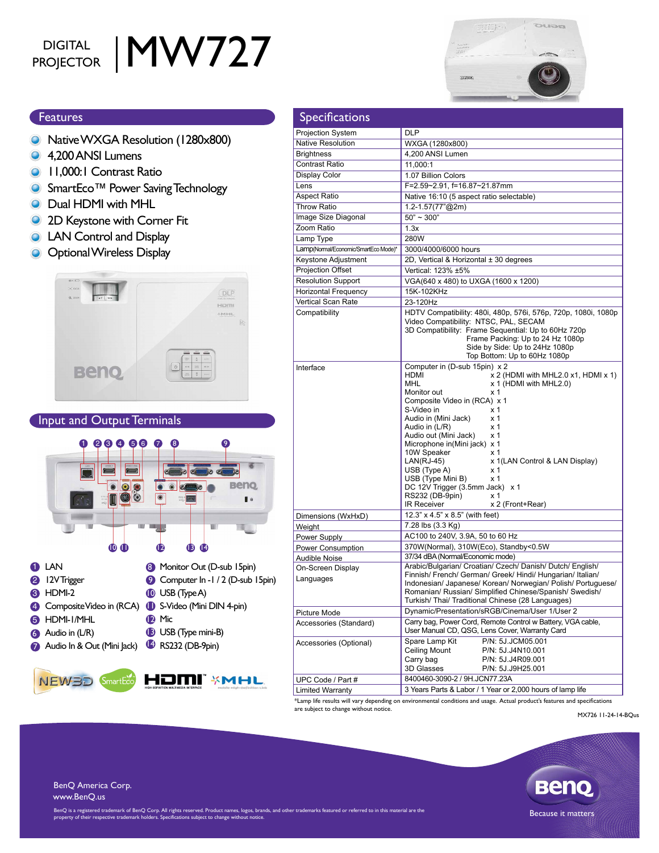# DIGITAL | MW727

## ouea  $(1, 1, 1, 0, 1)$ aang

#### **Features**

- **O** Native WXGA Resolution (1280x800)
- **4.200 ANSI Lumens**
- **11,000:1 Contrast Ratio**
- SmartEco<sup>™</sup> Power Saving Technology
- **O** Dual HDMI with MHL
- 2D Keystone with Corner Fit  $\bullet$
- LAN Control and Display  $\bullet$
- **O** Optional Wireless Display



#### Input and Output Terminals





| <b>Specifications</b>                |                                                                                                                                                                                                                                                                                                                                                                                                                                                                                                                                                                                                                           |  |  |  |  |
|--------------------------------------|---------------------------------------------------------------------------------------------------------------------------------------------------------------------------------------------------------------------------------------------------------------------------------------------------------------------------------------------------------------------------------------------------------------------------------------------------------------------------------------------------------------------------------------------------------------------------------------------------------------------------|--|--|--|--|
| <b>Projection System</b>             | <b>DLP</b>                                                                                                                                                                                                                                                                                                                                                                                                                                                                                                                                                                                                                |  |  |  |  |
| <b>Native Resolution</b>             | WXGA (1280x800)                                                                                                                                                                                                                                                                                                                                                                                                                                                                                                                                                                                                           |  |  |  |  |
| <b>Brightness</b>                    | 4,200 ANSI Lumen                                                                                                                                                                                                                                                                                                                                                                                                                                                                                                                                                                                                          |  |  |  |  |
| Contrast Ratio                       | 11,000:1                                                                                                                                                                                                                                                                                                                                                                                                                                                                                                                                                                                                                  |  |  |  |  |
| Display Color                        | 1.07 Billion Colors                                                                                                                                                                                                                                                                                                                                                                                                                                                                                                                                                                                                       |  |  |  |  |
| Lens                                 | F=2.59~2.91, f=16.87~21.87mm                                                                                                                                                                                                                                                                                                                                                                                                                                                                                                                                                                                              |  |  |  |  |
| <b>Aspect Ratio</b>                  | Native 16:10 (5 aspect ratio selectable)                                                                                                                                                                                                                                                                                                                                                                                                                                                                                                                                                                                  |  |  |  |  |
| <b>Throw Ratio</b>                   | 1.2-1.57(77"@2m)                                                                                                                                                                                                                                                                                                                                                                                                                                                                                                                                                                                                          |  |  |  |  |
| Image Size Diagonal                  | $50" \sim 300"$                                                                                                                                                                                                                                                                                                                                                                                                                                                                                                                                                                                                           |  |  |  |  |
| Zoom Ratio                           | 1.3x                                                                                                                                                                                                                                                                                                                                                                                                                                                                                                                                                                                                                      |  |  |  |  |
| Lamp Type                            | 280W                                                                                                                                                                                                                                                                                                                                                                                                                                                                                                                                                                                                                      |  |  |  |  |
| Lamp(Normal/Economic/SmartEco Mode)* | 3000/4000/6000 hours                                                                                                                                                                                                                                                                                                                                                                                                                                                                                                                                                                                                      |  |  |  |  |
| Keystone Adjustment                  | 2D, Vertical & Horizontal ± 30 degrees                                                                                                                                                                                                                                                                                                                                                                                                                                                                                                                                                                                    |  |  |  |  |
| Projection Offset                    | Vertical: 123% ±5%                                                                                                                                                                                                                                                                                                                                                                                                                                                                                                                                                                                                        |  |  |  |  |
| <b>Resolution Support</b>            | VGA(640 x 480) to UXGA (1600 x 1200)                                                                                                                                                                                                                                                                                                                                                                                                                                                                                                                                                                                      |  |  |  |  |
| <b>Horizontal Frequency</b>          | 15K-102KHz                                                                                                                                                                                                                                                                                                                                                                                                                                                                                                                                                                                                                |  |  |  |  |
| Vertical Scan Rate                   | 23-120Hz                                                                                                                                                                                                                                                                                                                                                                                                                                                                                                                                                                                                                  |  |  |  |  |
| Compatibility                        | HDTV Compatibility: 480i, 480p, 576i, 576p, 720p, 1080i, 1080p<br>Video Compatibility: NTSC, PAL, SECAM<br>3D Compatibility: Frame Sequential: Up to 60Hz 720p<br>Frame Packing: Up to 24 Hz 1080p                                                                                                                                                                                                                                                                                                                                                                                                                        |  |  |  |  |
|                                      | Side by Side: Up to 24Hz 1080p<br>Top Bottom: Up to 60Hz 1080p                                                                                                                                                                                                                                                                                                                                                                                                                                                                                                                                                            |  |  |  |  |
| Interface                            | Computer in (D-sub 15pin) x 2<br><b>HDMI</b><br>x 2 (HDMI with MHL2.0 x1, HDMI x 1)<br><b>MHL</b><br>x 1 (HDMI with MHL2.0)<br>Monitor out<br>x 1<br>Composite Video in (RCA) x 1<br>S-Video in<br>x 1<br>Audio in (Mini Jack)<br>x <sub>1</sub><br>Audio in (L/R)<br>x 1<br>Audio out (Mini Jack)<br>x 1<br>Microphone in(Mini jack) x 1<br>10W Speaker<br>x <sub>1</sub><br>$LAN(RJ-45)$<br>x 1(LAN Control & LAN Display)<br>USB (Type A)<br>x 1<br>USB (Type Mini B)<br>x 1<br>DC 12V Trigger (3.5mm Jack) x 1<br>RS232 (DB-9pin)<br>x 1<br><b>IR Receiver</b><br>x 2 (Front+Rear)<br>12.3" x 4.5" x 8.5" (with feet) |  |  |  |  |
| Dimensions (WxHxD)                   |                                                                                                                                                                                                                                                                                                                                                                                                                                                                                                                                                                                                                           |  |  |  |  |
| Weight                               | 7.28 lbs (3.3 Kg)                                                                                                                                                                                                                                                                                                                                                                                                                                                                                                                                                                                                         |  |  |  |  |
| Power Supply                         | AC100 to 240V, 3.9A, 50 to 60 Hz                                                                                                                                                                                                                                                                                                                                                                                                                                                                                                                                                                                          |  |  |  |  |
| Power Consumption                    | 370W(Normal), 310W(Eco), Standby<0.5W                                                                                                                                                                                                                                                                                                                                                                                                                                                                                                                                                                                     |  |  |  |  |
| Audible Noise                        | 37/34 dBA (Normal/Economic mode)<br>Arabic/Bulgarian/ Croatian/ Czech/ Danish/ Dutch/ English/                                                                                                                                                                                                                                                                                                                                                                                                                                                                                                                            |  |  |  |  |
| On-Screen Display                    | Finnish/ French/ German/ Greek/ Hindi/ Hungarian/ Italian/                                                                                                                                                                                                                                                                                                                                                                                                                                                                                                                                                                |  |  |  |  |
| Languages                            | Indonesian/ Japanese/ Korean/ Norwegian/ Polish/ Portuguese/<br>Romanian/ Russian/ Simplified Chinese/Spanish/ Swedish/<br>Turkish/Thai/Traditional Chinese (28 Languages)                                                                                                                                                                                                                                                                                                                                                                                                                                                |  |  |  |  |
| Picture Mode                         | Dynamic/Presentation/sRGB/Cinema/User 1/User 2                                                                                                                                                                                                                                                                                                                                                                                                                                                                                                                                                                            |  |  |  |  |
| Accessories (Standard)               | Carry bag, Power Cord, Remote Control w Battery, VGA cable,<br>User Manual CD, QSG, Lens Cover, Warranty Card                                                                                                                                                                                                                                                                                                                                                                                                                                                                                                             |  |  |  |  |
| Accessories (Optional)               | Spare Lamp Kit<br>P/N: 5J.JCM05.001<br><b>Ceiling Mount</b><br>P/N: 5J.J4N10.001<br>Carry bag<br>P/N: 5J.J4R09.001<br>3D Glasses<br>P/N: 5J.J9H25.001                                                                                                                                                                                                                                                                                                                                                                                                                                                                     |  |  |  |  |
| UPC Code / Part #                    | 8400460-3090-2 / 9H.JCN77.23A                                                                                                                                                                                                                                                                                                                                                                                                                                                                                                                                                                                             |  |  |  |  |
| <b>Limited Warranty</b>              | 3 Years Parts & Labor / 1 Year or 2,000 hours of lamp life                                                                                                                                                                                                                                                                                                                                                                                                                                                                                                                                                                |  |  |  |  |

\*Lamp life results will vary depending on environmental conditions and usage. Actual product's features and specifications are subject to change without notice.

MX726 11-24-14-BQus



BenQ America Corp. www.BenQ.us

BenQ is a registered trademark of BenQ Corp. All rights reserved. Product names, logos, brands, and other trademarks featured or referred to in this material are the matches and the cause it matters Because it matters (pro